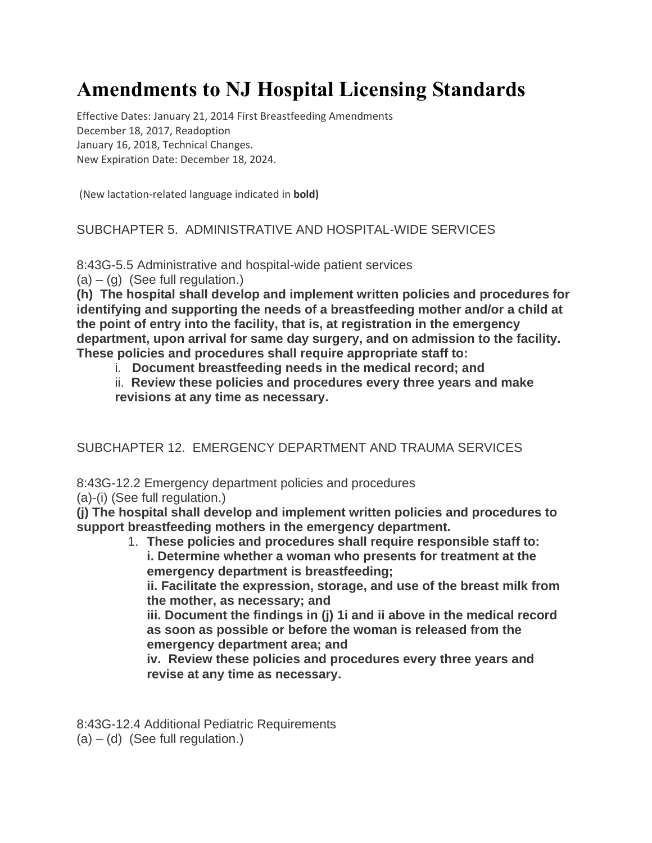# **Amendments to NJ Hospital Licensing Standards**

Effective Dates: January 21, 2014 First Breastfeeding Amendments December 18, 2017, Readoption January 16, 2018, Technical Changes. New Expiration Date: December 18, 2024.

(New lactation-related language indicated in **bold)**

### SUBCHAPTER 5. ADMINISTRATIVE AND HOSPITAL-WIDE SERVICES

8:43G-5.5 Administrative and hospital-wide patient services

 $(a) - (q)$  (See full regulation.)

**(h) The hospital shall develop and implement written policies and procedures for identifying and supporting the needs of a breastfeeding mother and/or a child at the point of entry into the facility, that is, at registration in the emergency department, upon arrival for same day surgery, and on admission to the facility. These policies and procedures shall require appropriate staff to:**

i. **Document breastfeeding needs in the medical record; and**

ii. **Review these policies and procedures every three years and make revisions at any time as necessary.**

SUBCHAPTER 12. EMERGENCY DEPARTMENT AND TRAUMA SERVICES

8:43G-12.2 Emergency department policies and procedures

(a)-(i) (See full regulation.)

**(j) The hospital shall develop and implement written policies and procedures to support breastfeeding mothers in the emergency department.**

1. **These policies and procedures shall require responsible staff to: i. Determine whether a woman who presents for treatment at the emergency department is breastfeeding;**

**ii. Facilitate the expression, storage, and use of the breast milk from the mother, as necessary; and**

**iii. Document the findings in (j) 1i and ii above in the medical record as soon as possible or before the woman is released from the emergency department area; and**

**iv. Review these policies and procedures every three years and revise at any time as necessary.**

8:43G-12.4 Additional Pediatric Requirements

 $(a) - (d)$  (See full regulation.)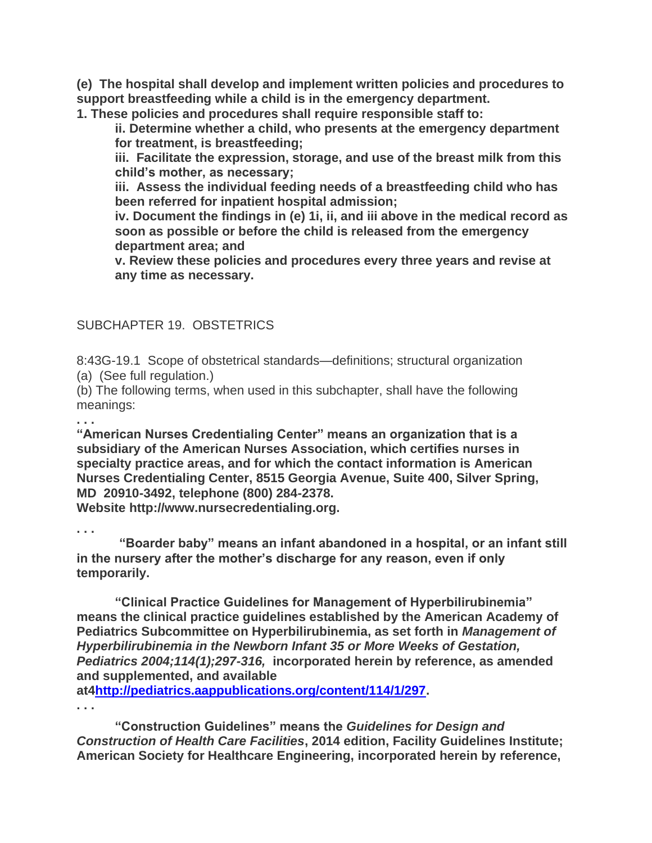**(e) The hospital shall develop and implement written policies and procedures to support breastfeeding while a child is in the emergency department.**

**1. These policies and procedures shall require responsible staff to:**

**ii. Determine whether a child, who presents at the emergency department for treatment, is breastfeeding;**

**iii. Facilitate the expression, storage, and use of the breast milk from this child's mother, as necessary;** 

**iii. Assess the individual feeding needs of a breastfeeding child who has been referred for inpatient hospital admission;**

**iv. Document the findings in (e) 1i, ii, and iii above in the medical record as soon as possible or before the child is released from the emergency department area; and**

**v. Review these policies and procedures every three years and revise at any time as necessary.**

#### SUBCHAPTER 19. OBSTETRICS

8:43G-19.1Scope of obstetrical standards—definitions; structural organization (a) (See full regulation.)

(b) The following terms, when used in this subchapter, shall have the following meanings:

**. . .**

**"American Nurses Credentialing Center" means an organization that is a subsidiary of the American Nurses Association, which certifies nurses in specialty practice areas, and for which the contact information is American Nurses Credentialing Center, 8515 Georgia Avenue, Suite 400, Silver Spring, MD 20910-3492, telephone (800) 284-2378.** 

**Website http://www.nursecredentialing.org.**

**. . .**

 **"Boarder baby" means an infant abandoned in a hospital, or an infant still in the nursery after the mother's discharge for any reason, even if only temporarily.**

**"Clinical Practice Guidelines for Management of Hyperbilirubinemia" means the clinical practice guidelines established by the American Academy of Pediatrics Subcommittee on Hyperbilirubinemia, as set forth in** *Management of Hyperbilirubinemia in the Newborn Infant 35 or More Weeks of Gestation, Pediatrics 2004;114(1);297-316,* **incorporated herein by reference, as amended and supplemented, and available** 

**at[4http://pediatrics.aappublications.org/content/114/1/297.](http://pediatrics.aappublications.org/content/114/1/297)**

**. . .**

**"Construction Guidelines" means the** *Guidelines for Design and Construction of Health Care Facilities***, 2014 edition, Facility Guidelines Institute; American Society for Healthcare Engineering, incorporated herein by reference,**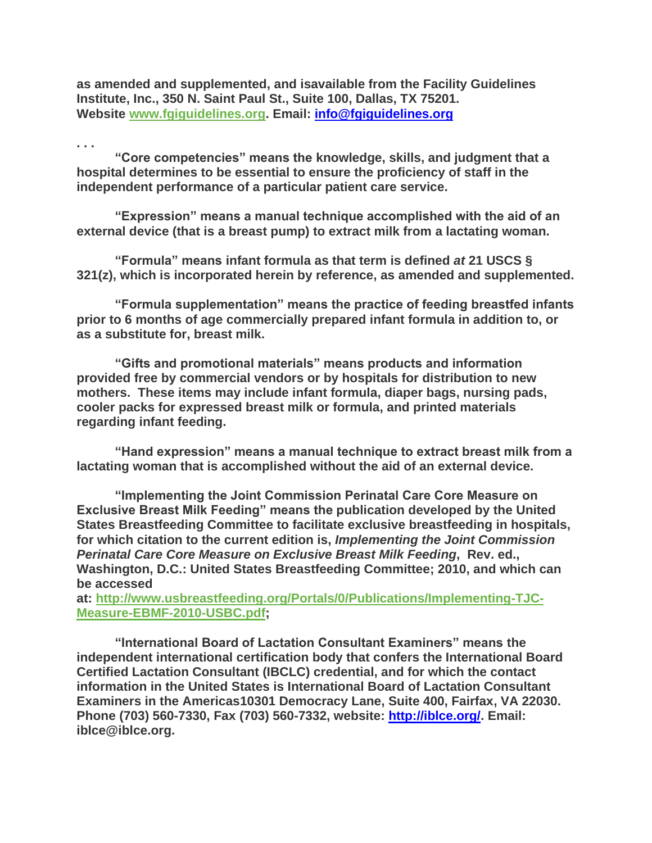**as amended and supplemented, and isavailable from the Facility Guidelines Institute, Inc., 350 N. Saint Paul St., Suite 100, Dallas, TX 75201. Website [www.fgiguidelines.org.](http://www.fgiguidelines.org/) Email: [info@fgiguidelines.org](mailto:info@fgiguidelines.org)**

**. . . "Core competencies" means the knowledge, skills, and judgment that a hospital determines to be essential to ensure the proficiency of staff in the independent performance of a particular patient care service.**

**"Expression" means a manual technique accomplished with the aid of an external device (that is a breast pump) to extract milk from a lactating woman.**

**"Formula" means infant formula as that term is defined** *at* **21 USCS § 321(z), which is incorporated herein by reference, as amended and supplemented.**

**"Formula supplementation" means the practice of feeding breastfed infants prior to 6 months of age commercially prepared infant formula in addition to, or as a substitute for, breast milk.**

**"Gifts and promotional materials" means products and information provided free by commercial vendors or by hospitals for distribution to new mothers. These items may include infant formula, diaper bags, nursing pads, cooler packs for expressed breast milk or formula, and printed materials regarding infant feeding.**

**"Hand expression" means a manual technique to extract breast milk from a lactating woman that is accomplished without the aid of an external device.**

**"Implementing the Joint Commission Perinatal Care Core Measure on Exclusive Breast Milk Feeding" means the publication developed by the United States Breastfeeding Committee to facilitate exclusive breastfeeding in hospitals, for which citation to the current edition is,** *Implementing the Joint Commission Perinatal Care Core Measure on Exclusive Breast Milk Feeding***, Rev. ed., Washington, D.C.: United States Breastfeeding Committee; 2010, and which can be accessed** 

**at: [http://www.usbreastfeeding.org/Portals/0/Publications/Implementing-TJC-](http://www.usbreastfeeding.org/Portals/0/Publications/Implementing-TJC-Measure-EBMF-2010-USBC.pdf)[Measure-EBMF-2010-USBC.pdf;](http://www.usbreastfeeding.org/Portals/0/Publications/Implementing-TJC-Measure-EBMF-2010-USBC.pdf)**

**"International Board of Lactation Consultant Examiners" means the independent international certification body that confers the International Board Certified Lactation Consultant (IBCLC) credential, and for which the contact information in the United States is International Board of Lactation Consultant Examiners in the Americas10301 Democracy Lane, Suite 400, Fairfax, VA 22030. Phone (703) 560-7330, Fax (703) 560-7332, website: [http://iblce.org/.](http://iblce.org/) Email: iblce@iblce.org.**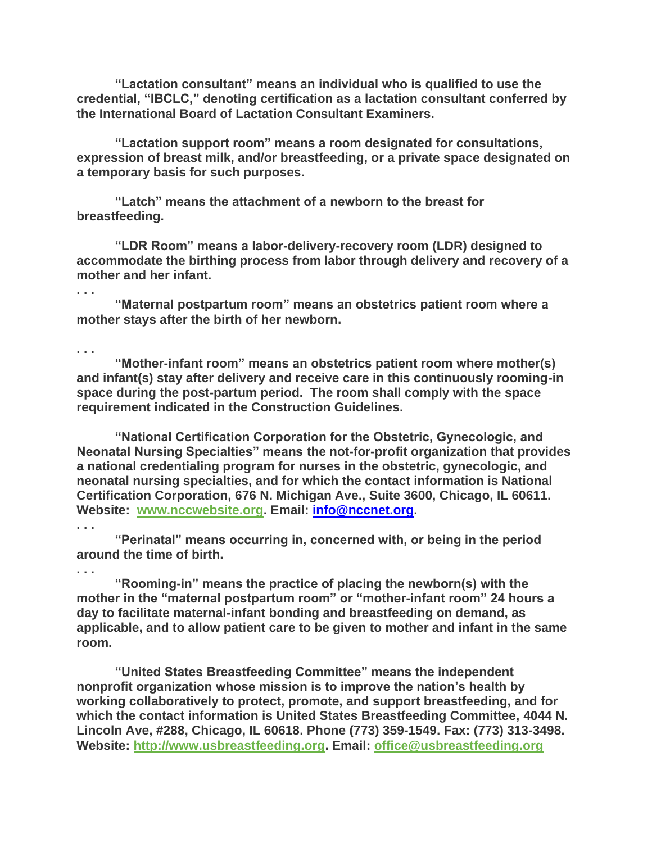**"Lactation consultant" means an individual who is qualified to use the credential, "IBCLC," denoting certification as a lactation consultant conferred by the International Board of Lactation Consultant Examiners.**

**"Lactation support room" means a room designated for consultations, expression of breast milk, and/or breastfeeding, or a private space designated on a temporary basis for such purposes.**

**"Latch" means the attachment of a newborn to the breast for breastfeeding.**

**"LDR Room" means a labor-delivery-recovery room (LDR) designed to accommodate the birthing process from labor through delivery and recovery of a mother and her infant.**

**"Maternal postpartum room" means an obstetrics patient room where a mother stays after the birth of her newborn.**

**. . .**

**. . .**

**"Mother-infant room" means an obstetrics patient room where mother(s) and infant(s) stay after delivery and receive care in this continuously rooming-in space during the post-partum period. The room shall comply with the space requirement indicated in the Construction Guidelines.**

**"National Certification Corporation for the Obstetric, Gynecologic, and Neonatal Nursing Specialties" means the not-for-profit organization that provides a national credentialing program for nurses in the obstetric, gynecologic, and neonatal nursing specialties, and for which the contact information is National Certification Corporation, 676 N. Michigan Ave., Suite 3600, Chicago, IL 60611. Website: [www.nccwebsite.org.](http://www.nccwebsite.org/) Email: [info@nccnet.org.](mailto:info@nccnet.org)** 

**. . .**

**"Perinatal" means occurring in, concerned with, or being in the period around the time of birth.**

**. . .**

**"Rooming-in" means the practice of placing the newborn(s) with the mother in the "maternal postpartum room" or "mother-infant room" 24 hours a day to facilitate maternal-infant bonding and breastfeeding on demand, as applicable, and to allow patient care to be given to mother and infant in the same room.**

**"United States Breastfeeding Committee" means the independent nonprofit organization whose mission is to improve the nation's health by working collaboratively to protect, promote, and support breastfeeding, and for which the contact information is United States Breastfeeding Committee, 4044 N. Lincoln Ave, #288, Chicago, IL 60618. Phone (773) 359-1549. Fax: (773) 313-3498. Website: [http://www.usbreastfeeding.org.](http://www.usbreastfeeding.org/) Email: [office@usbreastfeeding.org](mailto:office@usbreastfeeding.org)**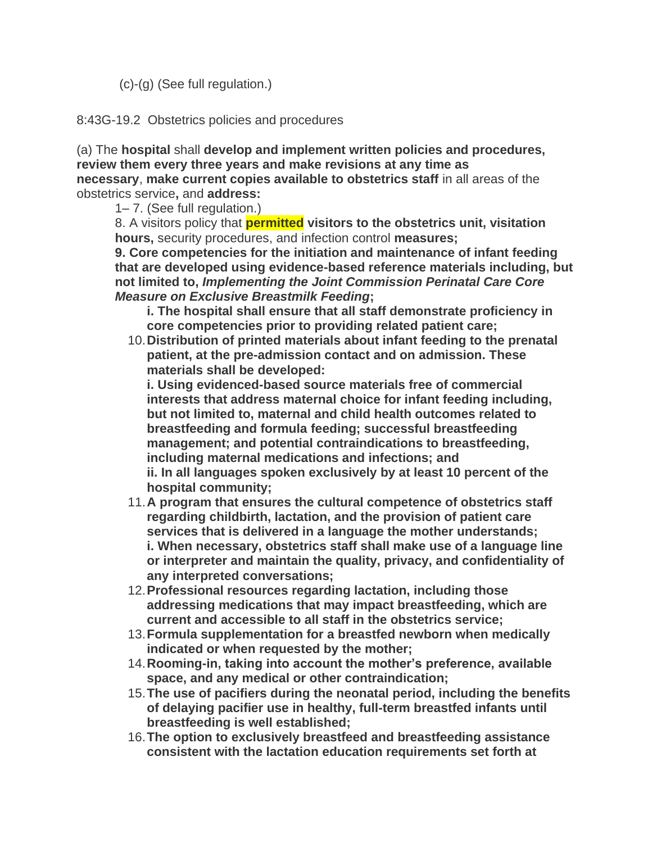(c)-(g) (See full regulation.)

8:43G-19.2 Obstetrics policies and procedures

(a) The **hospital** shall **develop and implement written policies and procedures, review them every three years and make revisions at any time as necessary**, **make current copies available to obstetrics staff** in all areas of the obstetrics service**,** and **address:**

1– 7. (See full regulation.)

8. A visitors policy that **permitted visitors to the obstetrics unit, visitation hours,** security procedures, and infection control **measures;**

**9. Core competencies for the initiation and maintenance of infant feeding that are developed using evidence-based reference materials including, but not limited to,** *Implementing the Joint Commission Perinatal Care Core Measure on Exclusive Breastmilk Feeding***;**

- **i. The hospital shall ensure that all staff demonstrate proficiency in core competencies prior to providing related patient care;**
- 10.**Distribution of printed materials about infant feeding to the prenatal patient, at the pre-admission contact and on admission. These materials shall be developed:**

**i. Using evidenced-based source materials free of commercial interests that address maternal choice for infant feeding including, but not limited to, maternal and child health outcomes related to breastfeeding and formula feeding; successful breastfeeding management; and potential contraindications to breastfeeding, including maternal medications and infections; and ii. In all languages spoken exclusively by at least 10 percent of the hospital community;**

- 11.**A program that ensures the cultural competence of obstetrics staff regarding childbirth, lactation, and the provision of patient care services that is delivered in a language the mother understands; i. When necessary, obstetrics staff shall make use of a language line or interpreter and maintain the quality, privacy, and confidentiality of any interpreted conversations;**
- 12.**Professional resources regarding lactation, including those addressing medications that may impact breastfeeding, which are current and accessible to all staff in the obstetrics service;**
- 13.**Formula supplementation for a breastfed newborn when medically indicated or when requested by the mother;**
- 14.**Rooming-in, taking into account the mother's preference, available space, and any medical or other contraindication;**
- 15.**The use of pacifiers during the neonatal period, including the benefits of delaying pacifier use in healthy, full-term breastfed infants until breastfeeding is well established;**
- 16.**The option to exclusively breastfeed and breastfeeding assistance consistent with the lactation education requirements set forth at**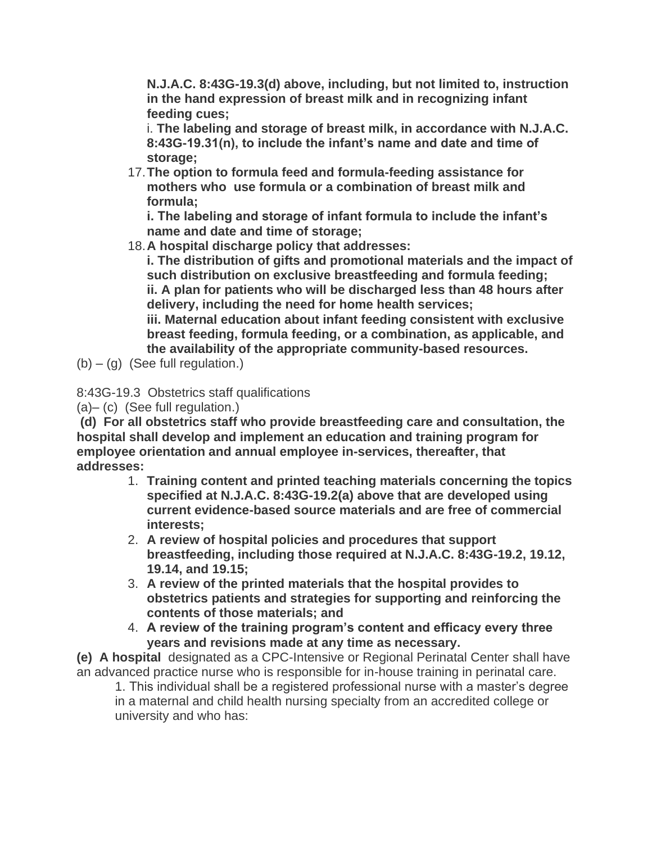**N.J.A.C. 8:43G-19.3(d) above, including, but not limited to, instruction in the hand expression of breast milk and in recognizing infant feeding cues;**

i. **The labeling and storage of breast milk, in accordance with N.J.A.C. 8:43G-19.31(n), to include the infant's name and date and time of storage;**

17.**The option to formula feed and formula-feeding assistance for mothers who use formula or a combination of breast milk and formula;**

**i. The labeling and storage of infant formula to include the infant's name and date and time of storage;**

18.**A hospital discharge policy that addresses:**

**i. The distribution of gifts and promotional materials and the impact of such distribution on exclusive breastfeeding and formula feeding; ii. A plan for patients who will be discharged less than 48 hours after delivery, including the need for home health services;**

**iii. Maternal education about infant feeding consistent with exclusive breast feeding, formula feeding, or a combination, as applicable, and the availability of the appropriate community-based resources.**

 $(b) - (g)$  (See full regulation.)

8:43G-19.3 Obstetrics staff qualifications

(a)– (c) (See full regulation.)

**(d) For all obstetrics staff who provide breastfeeding care and consultation, the hospital shall develop and implement an education and training program for employee orientation and annual employee in-services, thereafter, that addresses:**

- 1. **Training content and printed teaching materials concerning the topics specified at N.J.A.C. 8:43G-19.2(a) above that are developed using current evidence-based source materials and are free of commercial interests;**
- 2. **A review of hospital policies and procedures that support breastfeeding, including those required at N.J.A.C. 8:43G-19.2, 19.12, 19.14, and 19.15;**
- 3. **A review of the printed materials that the hospital provides to obstetrics patients and strategies for supporting and reinforcing the contents of those materials; and**
- 4. **A review of the training program's content and efficacy every three years and revisions made at any time as necessary.**

**(e) A hospital** designated as a CPC-Intensive or Regional Perinatal Center shall have an advanced practice nurse who is responsible for in-house training in perinatal care.

1. This individual shall be a registered professional nurse with a master's degree in a maternal and child health nursing specialty from an accredited college or university and who has: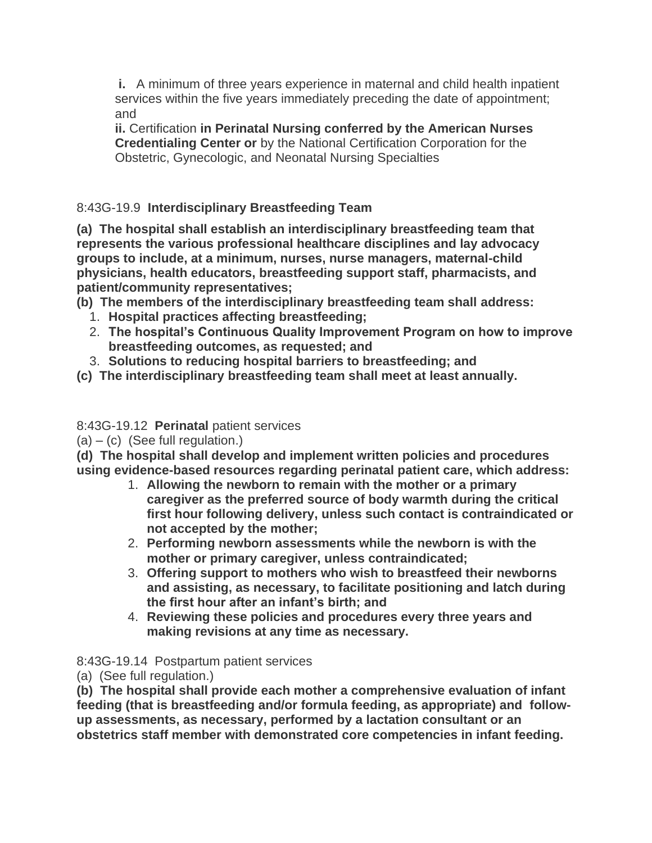**i.** A minimum of three years experience in maternal and child health inpatient services within the five years immediately preceding the date of appointment; and

**ii.** Certification **in Perinatal Nursing conferred by the American Nurses Credentialing Center or** by the National Certification Corporation for the Obstetric, Gynecologic, and Neonatal Nursing Specialties

## 8:43G-19.9 **Interdisciplinary Breastfeeding Team**

**(a) The hospital shall establish an interdisciplinary breastfeeding team that represents the various professional healthcare disciplines and lay advocacy groups to include, at a minimum, nurses, nurse managers, maternal-child physicians, health educators, breastfeeding support staff, pharmacists, and patient/community representatives;**

- **(b) The members of the interdisciplinary breastfeeding team shall address:**
	- 1. **Hospital practices affecting breastfeeding;**
	- 2. **The hospital's Continuous Quality Improvement Program on how to improve breastfeeding outcomes, as requested; and**
	- 3. **Solutions to reducing hospital barriers to breastfeeding; and**
- **(c) The interdisciplinary breastfeeding team shall meet at least annually.**

## 8:43G-19.12 **Perinatal** patient services

 $(a) - (c)$  (See full regulation.)

**(d) The hospital shall develop and implement written policies and procedures using evidence-based resources regarding perinatal patient care, which address:**

- 1. **Allowing the newborn to remain with the mother or a primary caregiver as the preferred source of body warmth during the critical first hour following delivery, unless such contact is contraindicated or not accepted by the mother;**
- 2. **Performing newborn assessments while the newborn is with the mother or primary caregiver, unless contraindicated;**
- 3. **Offering support to mothers who wish to breastfeed their newborns and assisting, as necessary, to facilitate positioning and latch during the first hour after an infant's birth; and**
- 4. **Reviewing these policies and procedures every three years and making revisions at any time as necessary.**

8:43G-19.14 Postpartum patient services

(a) (See full regulation.)

**(b) The hospital shall provide each mother a comprehensive evaluation of infant feeding (that is breastfeeding and/or formula feeding, as appropriate) and followup assessments, as necessary, performed by a lactation consultant or an obstetrics staff member with demonstrated core competencies in infant feeding.**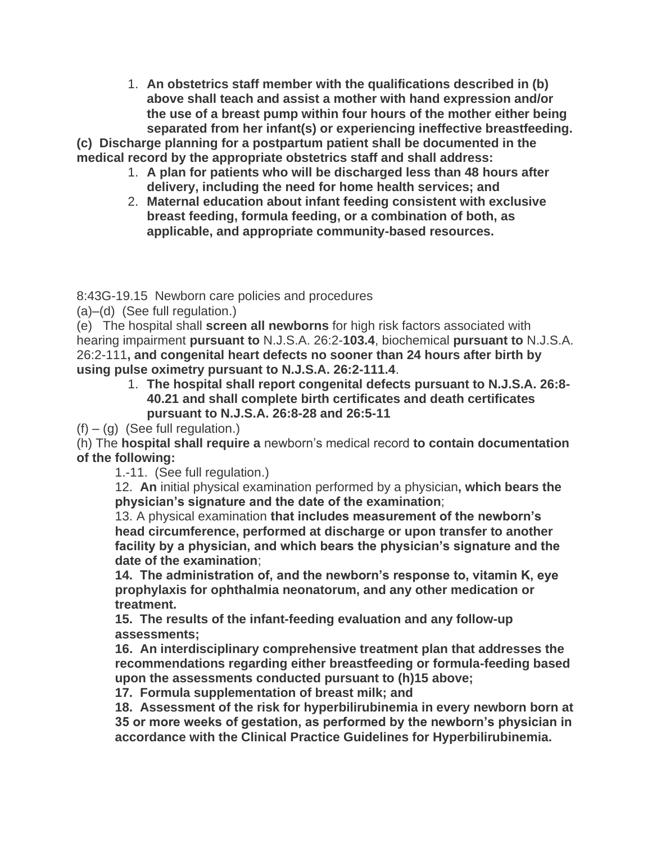1. **An obstetrics staff member with the qualifications described in (b) above shall teach and assist a mother with hand expression and/or the use of a breast pump within four hours of the mother either being separated from her infant(s) or experiencing ineffective breastfeeding.**

**(c) Discharge planning for a postpartum patient shall be documented in the medical record by the appropriate obstetrics staff and shall address:**

- 1. **A plan for patients who will be discharged less than 48 hours after delivery, including the need for home health services; and**
- 2. **Maternal education about infant feeding consistent with exclusive breast feeding, formula feeding, or a combination of both, as applicable, and appropriate community-based resources.**

8:43G-19.15 Newborn care policies and procedures

(a)–(d) (See full regulation.)

(e) The hospital shall **screen all newborns** for high risk factors associated with hearing impairment **pursuant to** N.J.S.A. 26:2-**103.4**, biochemical **pursuant to** N.J.S.A. 26:2-111**, and congenital heart defects no sooner than 24 hours after birth by using pulse oximetry pursuant to N.J.S.A. 26:2-111.4**.

> 1. **The hospital shall report congenital defects pursuant to N.J.S.A. 26:8- 40.21 and shall complete birth certificates and death certificates pursuant to N.J.S.A. 26:8-28 and 26:5-11**

 $(f) - (g)$  (See full regulation.)

(h) The **hospital shall require a** newborn's medical record **to contain documentation of the following:**

1.-11. (See full regulation.)

12. **An** initial physical examination performed by a physician**, which bears the physician's signature and the date of the examination**;

13. A physical examination **that includes measurement of the newborn's head circumference, performed at discharge or upon transfer to another facility by a physician, and which bears the physician's signature and the date of the examination**;

**14. The administration of, and the newborn's response to, vitamin K, eye prophylaxis for ophthalmia neonatorum, and any other medication or treatment.**

**15. The results of the infant-feeding evaluation and any follow-up assessments;**

**16. An interdisciplinary comprehensive treatment plan that addresses the recommendations regarding either breastfeeding or formula-feeding based upon the assessments conducted pursuant to (h)15 above;**

**17. Formula supplementation of breast milk; and**

**18. Assessment of the risk for hyperbilirubinemia in every newborn born at 35 or more weeks of gestation, as performed by the newborn's physician in accordance with the Clinical Practice Guidelines for Hyperbilirubinemia.**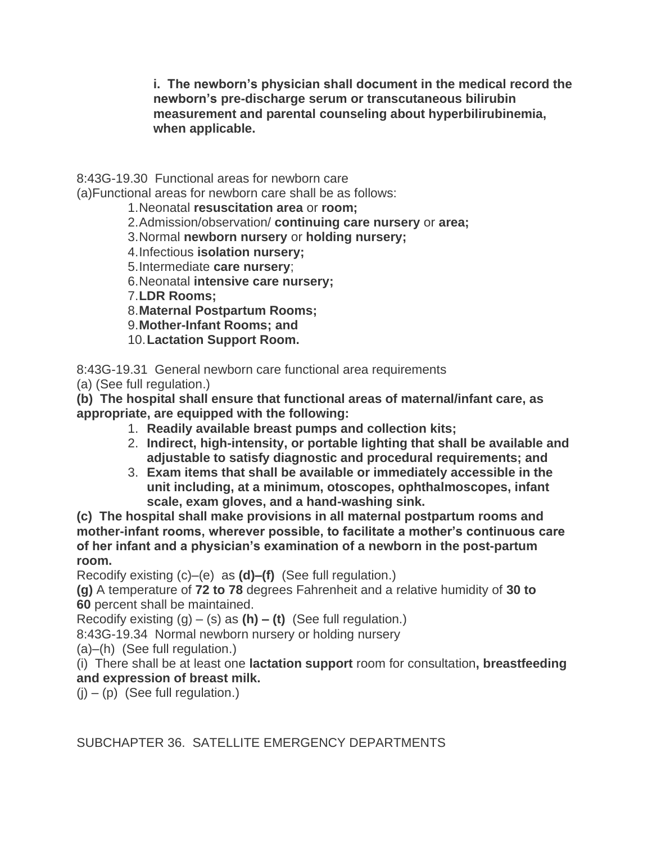**i. The newborn's physician shall document in the medical record the newborn's pre-discharge serum or transcutaneous bilirubin measurement and parental counseling about hyperbilirubinemia, when applicable.**

8:43G-19.30 Functional areas for newborn care

(a)Functional areas for newborn care shall be as follows:

1.Neonatal **resuscitation area** or **room;**

2.Admission/observation/ **continuing care nursery** or **area;**

3.Normal **newborn nursery** or **holding nursery;**

4.Infectious **isolation nursery;**

5.Intermediate **care nursery**;

6.Neonatal **intensive care nursery;**

7.**LDR Rooms;**

8.**Maternal Postpartum Rooms;**

9.**Mother-Infant Rooms; and**

10.**Lactation Support Room.**

8:43G-19.31 General newborn care functional area requirements

(a) (See full regulation.)

**(b) The hospital shall ensure that functional areas of maternal/infant care, as appropriate, are equipped with the following:**

- 1. **Readily available breast pumps and collection kits;**
- 2. **Indirect, high-intensity, or portable lighting that shall be available and adjustable to satisfy diagnostic and procedural requirements; and**
- 3. **Exam items that shall be available or immediately accessible in the unit including, at a minimum, otoscopes, ophthalmoscopes, infant scale, exam gloves, and a hand-washing sink.**

**(c) The hospital shall make provisions in all maternal postpartum rooms and mother-infant rooms, wherever possible, to facilitate a mother's continuous care of her infant and a physician's examination of a newborn in the post-partum room.**

Recodify existing (c)–(e) as **(d)–(f)** (See full regulation.)

**(g)** A temperature of **72 to 78** degrees Fahrenheit and a relative humidity of **30 to 60** percent shall be maintained.

Recodify existing (g) – (s) as **(h) – (t)** (See full regulation.)

8:43G-19.34 Normal newborn nursery or holding nursery

(a)–(h) (See full regulation.)

(i) There shall be at least one **lactation support** room for consultation**, breastfeeding and expression of breast milk.**

 $(i) - (p)$  (See full regulation.)

SUBCHAPTER 36. SATELLITE EMERGENCY DEPARTMENTS